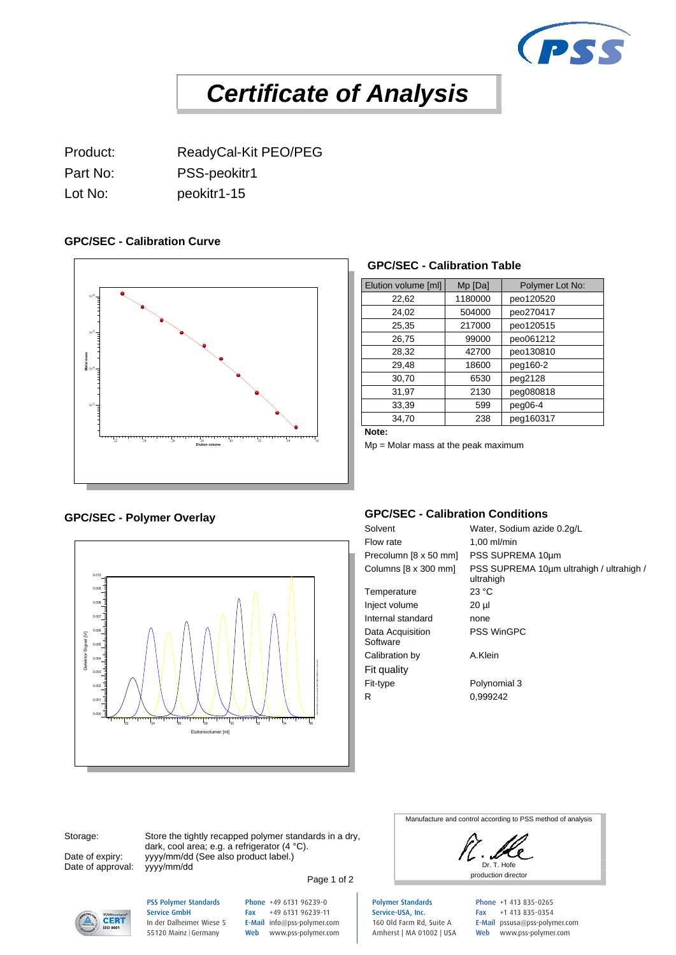

# *Certificate of Analysis*

Product: ReadyCal-Kit PEO/PEG Part No: PSS-peokitr1 Lot No: peokitr1-15

### **GPC/SEC - Calibration Curve**



#### **GPC/SEC - Calibration Table**

| Elution volume [ml] | Mp [Da] | Polymer Lot No: |
|---------------------|---------|-----------------|
| 22,62               | 1180000 | peo120520       |
| 24,02               | 504000  | peo270417       |
| 25,35               | 217000  | peo120515       |
| 26,75               | 99000   | peo061212       |
| 28,32               | 42700   | peo130810       |
| 29,48               | 18600   | peg160-2        |
| 30,70               | 6530    | peg2128         |
| 31,97               | 2130    | peg080818       |
| 33,39               | 599     | $peq06-4$       |
| 34,70               | 238     | peg160317       |

**Note:**

Mp = Molar mass at the peak maximum

## GPC/SEC - Polymer Overlay<br>Solvent



#### **GPC/SEC - Calibration Conditions**

Water, Sodium azide 0.2g/L Flow rate 1,00 ml/min Precolumn [8 x 50 mm] PSS SUPREMA 10µm Columns [8 x 300 mm] PSS SUPREMA 10µm ultrahigh / ultrahigh / ultrahigh Temperature 23 °C Inject volume 20 µl Internal standard none Data Acquisition **Software** PSS WinGPC Calibration by A.Klein Fit quality Fit-type Polynomial 3 R 0,999242

Date of approval: yyyy/mm/dd

Storage: Store the tightly recapped polymer standards in a dry, Date of expiry: yyyy/mm/dd (See also product label.) dark, cool area; e.g. a refrigerator (4 °C).

Page 1 of 2

Manufacture and control according to PSS method of analysis

Dr. T. Hofe



PSS Polymer Standards Service GmbH In der Dalheimer Wiese 5 55120 Mainz |Germany

Phone +49 6131 96239-0 Fax +49 6131 96239-11 E-Mail info@pss-polymer.com Web www.pss-polymer.com Polymer Standards Service-USA, Inc. 160 Old Farm Rd, Suite A Amherst | MA 01002 | USA Phone +1 413 835-0265 Fax +1 413 835-0354 E-Mail pssusa@pss-polymer.com Web www.pss-polymer.com